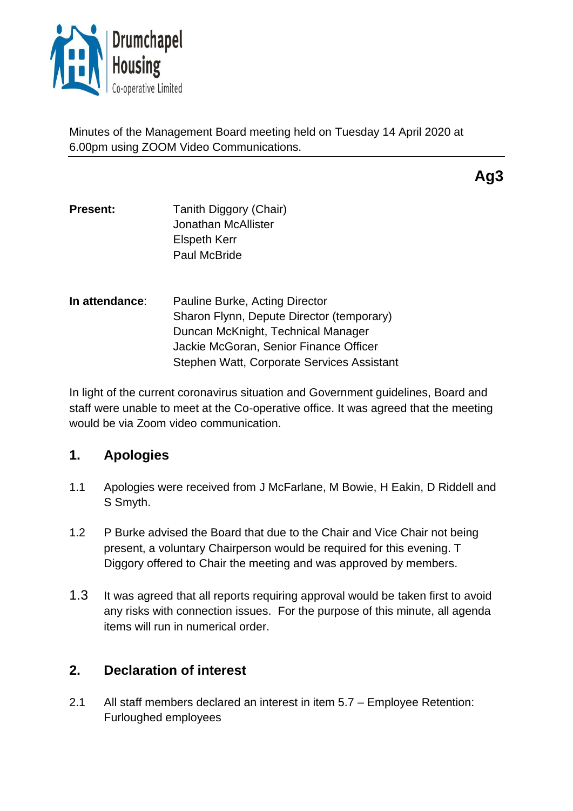

Minutes of the Management Board meeting held on Tuesday 14 April 2020 at 6.00pm using ZOOM Video Communications.

**Ag3**

- **Present:** Tanith Diggory (Chair) Jonathan McAllister Elspeth Kerr Paul McBride
- **In attendance**: Pauline Burke, Acting Director Sharon Flynn, Depute Director (temporary) Duncan McKnight, Technical Manager Jackie McGoran, Senior Finance Officer Stephen Watt, Corporate Services Assistant

In light of the current coronavirus situation and Government guidelines, Board and staff were unable to meet at the Co-operative office. It was agreed that the meeting would be via Zoom video communication.

# **1. Apologies**

- 1.1 Apologies were received from J McFarlane, M Bowie, H Eakin, D Riddell and S Smyth.
- 1.2 P Burke advised the Board that due to the Chair and Vice Chair not being present, a voluntary Chairperson would be required for this evening. T Diggory offered to Chair the meeting and was approved by members.
- 1.3 It was agreed that all reports requiring approval would be taken first to avoid any risks with connection issues. For the purpose of this minute, all agenda items will run in numerical order.

# **2. Declaration of interest**

2.1 All staff members declared an interest in item 5.7 – Employee Retention: Furloughed employees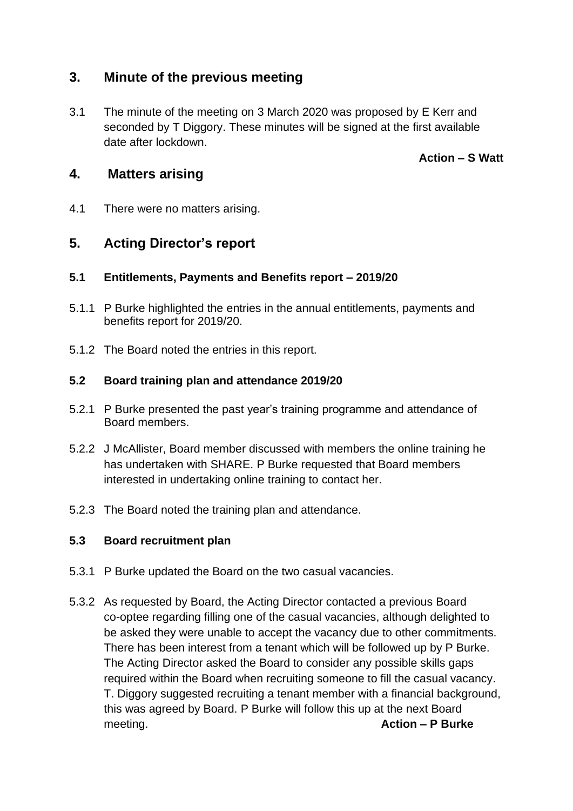## **3. Minute of the previous meeting**

3.1 The minute of the meeting on 3 March 2020 was proposed by E Kerr and seconded by T Diggory. These minutes will be signed at the first available date after lockdown.

**Action – S Watt** 

## **4. Matters arising**

4.1 There were no matters arising.

# **5. Acting Director's report**

### **5.1 Entitlements, Payments and Benefits report – 2019/20**

- 5.1.1 P Burke highlighted the entries in the annual entitlements, payments and benefits report for 2019/20.
- 5.1.2 The Board noted the entries in this report.

#### **5.2 Board training plan and attendance 2019/20**

- 5.2.1 P Burke presented the past year's training programme and attendance of Board members.
- 5.2.2 J McAllister, Board member discussed with members the online training he has undertaken with SHARE. P Burke requested that Board members interested in undertaking online training to contact her.
- 5.2.3 The Board noted the training plan and attendance.

### **5.3 Board recruitment plan**

- 5.3.1 P Burke updated the Board on the two casual vacancies.
- 5.3.2 As requested by Board, the Acting Director contacted a previous Board co-optee regarding filling one of the casual vacancies, although delighted to be asked they were unable to accept the vacancy due to other commitments. There has been interest from a tenant which will be followed up by P Burke. The Acting Director asked the Board to consider any possible skills gaps required within the Board when recruiting someone to fill the casual vacancy. T. Diggory suggested recruiting a tenant member with a financial background, this was agreed by Board. P Burke will follow this up at the next Board meeting. **Action – P Burke**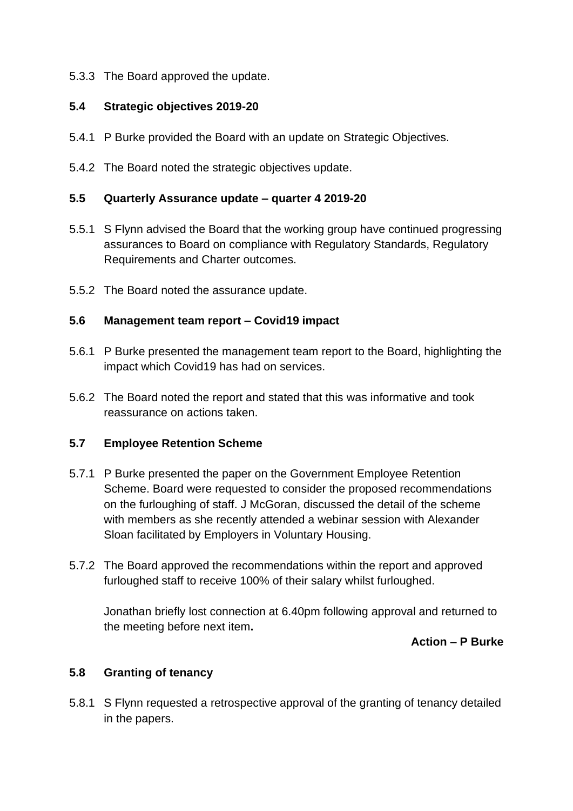#### 5.3.3 The Board approved the update.

#### **5.4 Strategic objectives 2019-20**

- 5.4.1 P Burke provided the Board with an update on Strategic Objectives.
- 5.4.2 The Board noted the strategic objectives update.

#### **5.5 Quarterly Assurance update – quarter 4 2019-20**

- 5.5.1 S Flynn advised the Board that the working group have continued progressing assurances to Board on compliance with Regulatory Standards, Regulatory Requirements and Charter outcomes.
- 5.5.2 The Board noted the assurance update.

#### **5.6 Management team report – Covid19 impact**

- 5.6.1 P Burke presented the management team report to the Board, highlighting the impact which Covid19 has had on services.
- 5.6.2 The Board noted the report and stated that this was informative and took reassurance on actions taken.

#### **5.7 Employee Retention Scheme**

- 5.7.1 P Burke presented the paper on the Government Employee Retention Scheme. Board were requested to consider the proposed recommendations on the furloughing of staff. J McGoran, discussed the detail of the scheme with members as she recently attended a webinar session with Alexander Sloan facilitated by Employers in Voluntary Housing.
- 5.7.2 The Board approved the recommendations within the report and approved furloughed staff to receive 100% of their salary whilst furloughed.

Jonathan briefly lost connection at 6.40pm following approval and returned to the meeting before next item**.**

#### **Action – P Burke**

### **5.8 Granting of tenancy**

5.8.1 S Flynn requested a retrospective approval of the granting of tenancy detailed in the papers.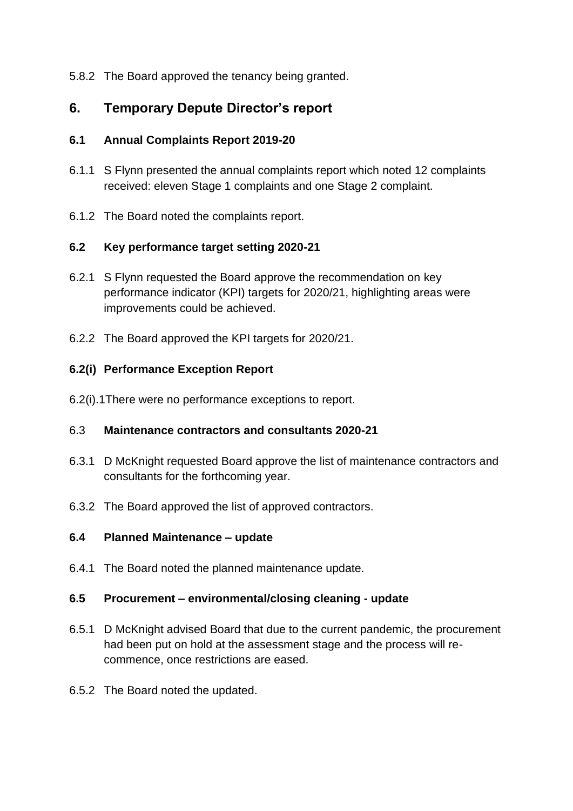5.8.2 The Board approved the tenancy being granted.

# **6. Temporary Depute Director's report**

### **6.1 Annual Complaints Report 2019-20**

- 6.1.1 S Flynn presented the annual complaints report which noted 12 complaints received: eleven Stage 1 complaints and one Stage 2 complaint.
- 6.1.2 The Board noted the complaints report.

### **6.2 Key performance target setting 2020-21**

- 6.2.1 S Flynn requested the Board approve the recommendation on key performance indicator (KPI) targets for 2020/21, highlighting areas were improvements could be achieved.
- 6.2.2 The Board approved the KPI targets for 2020/21.

### **6.2(i) Performance Exception Report**

6.2(i).1There were no performance exceptions to report.

### 6.3 **Maintenance contractors and consultants 2020-21**

- 6.3.1 D McKnight requested Board approve the list of maintenance contractors and consultants for the forthcoming year.
- 6.3.2 The Board approved the list of approved contractors.

### **6.4 Planned Maintenance – update**

6.4.1 The Board noted the planned maintenance update.

### **6.5 Procurement – environmental/closing cleaning - update**

- 6.5.1 D McKnight advised Board that due to the current pandemic, the procurement had been put on hold at the assessment stage and the process will recommence, once restrictions are eased.
- 6.5.2 The Board noted the updated.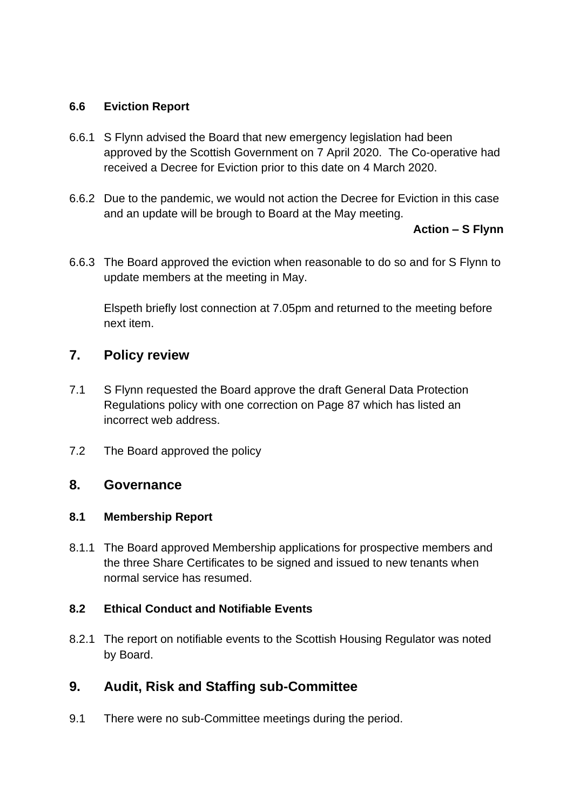### **6.6 Eviction Report**

- 6.6.1 S Flynn advised the Board that new emergency legislation had been approved by the Scottish Government on 7 April 2020. The Co-operative had received a Decree for Eviction prior to this date on 4 March 2020.
- 6.6.2 Due to the pandemic, we would not action the Decree for Eviction in this case and an update will be brough to Board at the May meeting.

#### **Action – S Flynn**

6.6.3 The Board approved the eviction when reasonable to do so and for S Flynn to update members at the meeting in May.

Elspeth briefly lost connection at 7.05pm and returned to the meeting before next item.

## **7. Policy review**

- 7.1 S Flynn requested the Board approve the draft General Data Protection Regulations policy with one correction on Page 87 which has listed an incorrect web address.
- 7.2 The Board approved the policy

### **8. Governance**

### **8.1 Membership Report**

8.1.1 The Board approved Membership applications for prospective members and the three Share Certificates to be signed and issued to new tenants when normal service has resumed.

### **8.2 Ethical Conduct and Notifiable Events**

8.2.1 The report on notifiable events to the Scottish Housing Regulator was noted by Board.

# **9. Audit, Risk and Staffing sub-Committee**

9.1 There were no sub-Committee meetings during the period.